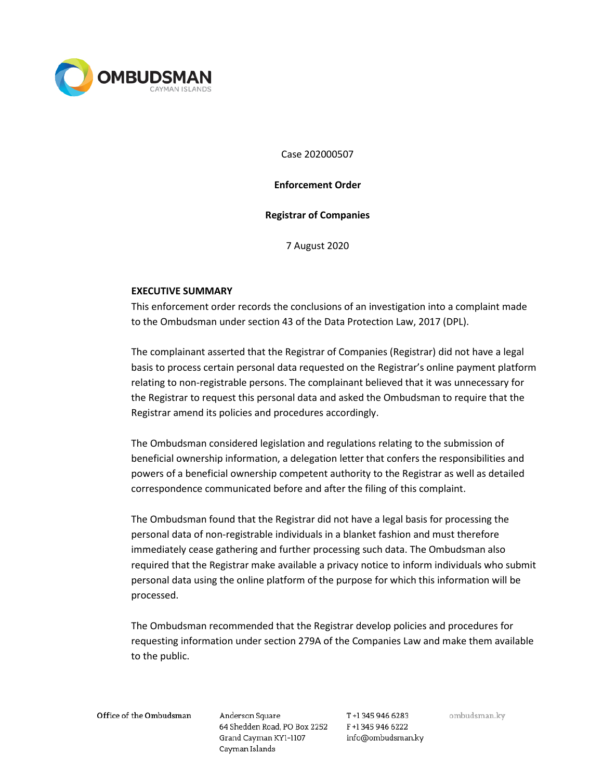

Case 202000507

**Enforcement Order**

## **Registrar of Companies**

7 August 2020

## **EXECUTIVE SUMMARY**

This enforcement order records the conclusions of an investigation into a complaint made to the Ombudsman under section 43 of the Data Protection Law, 2017 (DPL).

The complainant asserted that the Registrar of Companies (Registrar) did not have a legal basis to process certain personal data requested on the Registrar's online payment platform relating to non-registrable persons. The complainant believed that it was unnecessary for the Registrar to request this personal data and asked the Ombudsman to require that the Registrar amend its policies and procedures accordingly.

The Ombudsman considered legislation and regulations relating to the submission of beneficial ownership information, a delegation letter that confers the responsibilities and powers of a beneficial ownership competent authority to the Registrar as well as detailed correspondence communicated before and after the filing of this complaint.

The Ombudsman found that the Registrar did not have a legal basis for processing the personal data of non-registrable individuals in a blanket fashion and must therefore immediately cease gathering and further processing such data. The Ombudsman also required that the Registrar make available a privacy notice to inform individuals who submit personal data using the online platform of the purpose for which this information will be processed.

The Ombudsman recommended that the Registrar develop policies and procedures for requesting information under section 279A of the Companies Law and make them available to the public.

Office of the Ombudsman

Anderson Square 64 Shedden Road, PO Box 2252 F+1 345 946 6222 Grand Cayman KY1-1107 Cayman Islands

T+1 345 946 6283 info@ombudsman.ky ombudsman.ky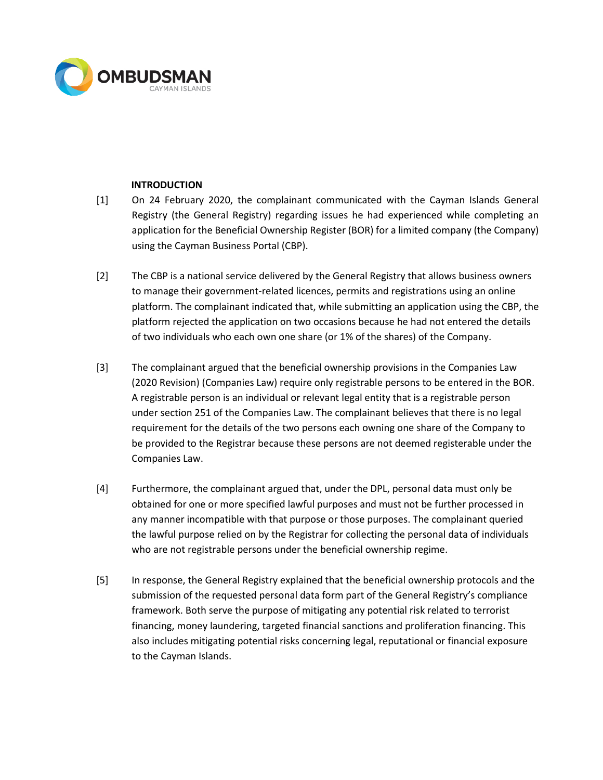

## **INTRODUCTION**

- [1] On 24 February 2020, the complainant communicated with the Cayman Islands General Registry (the General Registry) regarding issues he had experienced while completing an application for the Beneficial Ownership Register (BOR) for a limited company (the Company) using the Cayman Business Portal (CBP).
- [2] The CBP is a national service delivered by the General Registry that allows business owners to manage their government-related licences, permits and registrations using an online platform. The complainant indicated that, while submitting an application using the CBP, the platform rejected the application on two occasions because he had not entered the details of two individuals who each own one share (or 1% of the shares) of the Company.
- [3] The complainant argued that the beneficial ownership provisions in the Companies Law (2020 Revision) (Companies Law) require only registrable persons to be entered in the BOR. A registrable person is an individual or relevant legal entity that is a registrable person under section 251 of the Companies Law. The complainant believes that there is no legal requirement for the details of the two persons each owning one share of the Company to be provided to the Registrar because these persons are not deemed registerable under the Companies Law.
- [4] Furthermore, the complainant argued that, under the DPL, personal data must only be obtained for one or more specified lawful purposes and must not be further processed in any manner incompatible with that purpose or those purposes. The complainant queried the lawful purpose relied on by the Registrar for collecting the personal data of individuals who are not registrable persons under the beneficial ownership regime.
- [5] In response, the General Registry explained that the beneficial ownership protocols and the submission of the requested personal data form part of the General Registry's compliance framework. Both serve the purpose of mitigating any potential risk related to terrorist financing, money laundering, targeted financial sanctions and proliferation financing. This also includes mitigating potential risks concerning legal, reputational or financial exposure to the Cayman Islands.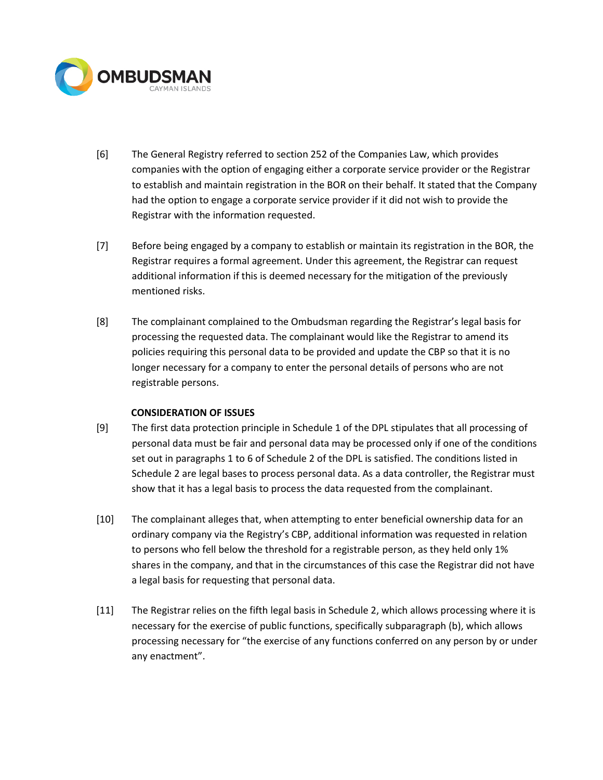

- [6] The General Registry referred to section 252 of the Companies Law, which provides companies with the option of engaging either a corporate service provider or the Registrar to establish and maintain registration in the BOR on their behalf. It stated that the Company had the option to engage a corporate service provider if it did not wish to provide the Registrar with the information requested.
- [7] Before being engaged by a company to establish or maintain its registration in the BOR, the Registrar requires a formal agreement. Under this agreement, the Registrar can request additional information if this is deemed necessary for the mitigation of the previously mentioned risks.
- [8] The complainant complained to the Ombudsman regarding the Registrar's legal basis for processing the requested data. The complainant would like the Registrar to amend its policies requiring this personal data to be provided and update the CBP so that it is no longer necessary for a company to enter the personal details of persons who are not registrable persons.

# **CONSIDERATION OF ISSUES**

- [9] The first data protection principle in Schedule 1 of the DPL stipulates that all processing of personal data must be fair and personal data may be processed only if one of the conditions set out in paragraphs 1 to 6 of Schedule 2 of the DPL is satisfied. The conditions listed in Schedule 2 are legal bases to process personal data. As a data controller, the Registrar must show that it has a legal basis to process the data requested from the complainant.
- [10] The complainant alleges that, when attempting to enter beneficial ownership data for an ordinary company via the Registry's CBP, additional information was requested in relation to persons who fell below the threshold for a registrable person, as they held only 1% shares in the company, and that in the circumstances of this case the Registrar did not have a legal basis for requesting that personal data.
- [11] The Registrar relies on the fifth legal basis in Schedule 2, which allows processing where it is necessary for the exercise of public functions, specifically subparagraph (b), which allows processing necessary for "the exercise of any functions conferred on any person by or under any enactment".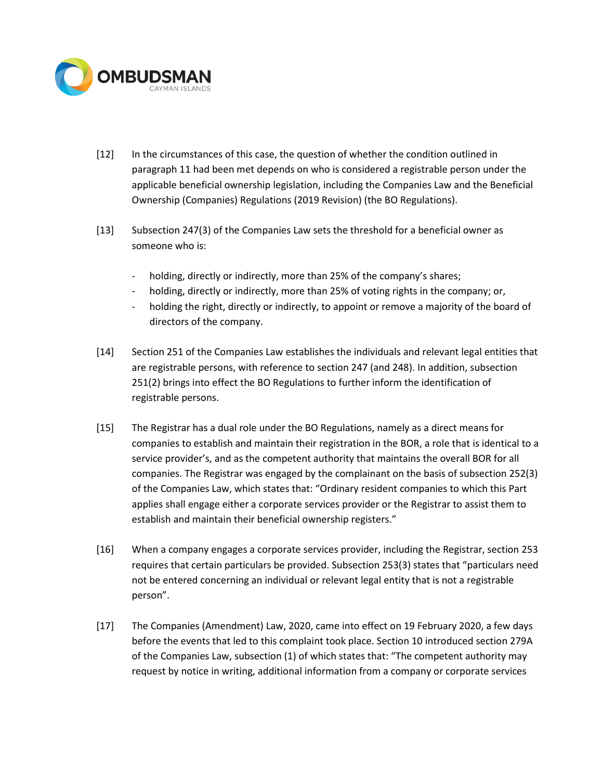

- [12] In the circumstances of this case, the question of whether the condition outlined in paragraph 11 had been met depends on who is considered a registrable person under the applicable beneficial ownership legislation, including the Companies Law and the Beneficial Ownership (Companies) Regulations (2019 Revision) (the BO Regulations).
- [13] Subsection 247(3) of the Companies Law sets the threshold for a beneficial owner as someone who is:
	- holding, directly or indirectly, more than 25% of the company's shares;
	- holding, directly or indirectly, more than 25% of voting rights in the company; or,
	- holding the right, directly or indirectly, to appoint or remove a majority of the board of directors of the company.
- [14] Section 251 of the Companies Law establishes the individuals and relevant legal entities that are registrable persons, with reference to section 247 (and 248). In addition, subsection 251(2) brings into effect the BO Regulations to further inform the identification of registrable persons.
- [15] The Registrar has a dual role under the BO Regulations, namely as a direct means for companies to establish and maintain their registration in the BOR, a role that is identical to a service provider's, and as the competent authority that maintains the overall BOR for all companies. The Registrar was engaged by the complainant on the basis of subsection 252(3) of the Companies Law, which states that: "Ordinary resident companies to which this Part applies shall engage either a corporate services provider or the Registrar to assist them to establish and maintain their beneficial ownership registers."
- [16] When a company engages a corporate services provider, including the Registrar, section 253 requires that certain particulars be provided. Subsection 253(3) states that "particulars need not be entered concerning an individual or relevant legal entity that is not a registrable person".
- [17] The Companies (Amendment) Law, 2020, came into effect on 19 February 2020, a few days before the events that led to this complaint took place. Section 10 introduced section 279A of the Companies Law, subsection (1) of which states that: "The competent authority may request by notice in writing, additional information from a company or corporate services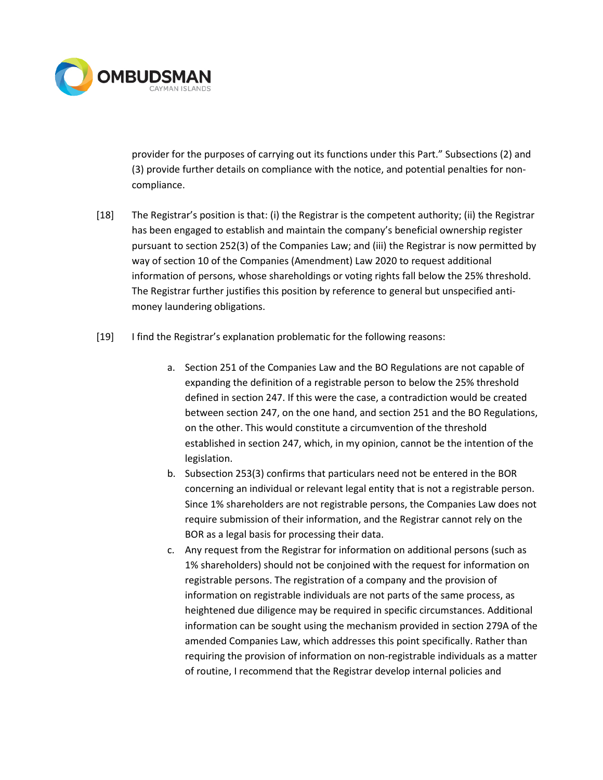

provider for the purposes of carrying out its functions under this Part." Subsections (2) and (3) provide further details on compliance with the notice, and potential penalties for noncompliance.

- [18] The Registrar's position is that: (i) the Registrar is the competent authority; (ii) the Registrar has been engaged to establish and maintain the company's beneficial ownership register pursuant to section 252(3) of the Companies Law; and (iii) the Registrar is now permitted by way of section 10 of the Companies (Amendment) Law 2020 to request additional information of persons, whose shareholdings or voting rights fall below the 25% threshold. The Registrar further justifies this position by reference to general but unspecified antimoney laundering obligations.
- [19] I find the Registrar's explanation problematic for the following reasons:
	- a. Section 251 of the Companies Law and the BO Regulations are not capable of expanding the definition of a registrable person to below the 25% threshold defined in section 247. If this were the case, a contradiction would be created between section 247, on the one hand, and section 251 and the BO Regulations, on the other. This would constitute a circumvention of the threshold established in section 247, which, in my opinion, cannot be the intention of the legislation.
	- b. Subsection 253(3) confirms that particulars need not be entered in the BOR concerning an individual or relevant legal entity that is not a registrable person. Since 1% shareholders are not registrable persons, the Companies Law does not require submission of their information, and the Registrar cannot rely on the BOR as a legal basis for processing their data.
	- c. Any request from the Registrar for information on additional persons (such as 1% shareholders) should not be conjoined with the request for information on registrable persons. The registration of a company and the provision of information on registrable individuals are not parts of the same process, as heightened due diligence may be required in specific circumstances. Additional information can be sought using the mechanism provided in section 279A of the amended Companies Law, which addresses this point specifically. Rather than requiring the provision of information on non-registrable individuals as a matter of routine, I recommend that the Registrar develop internal policies and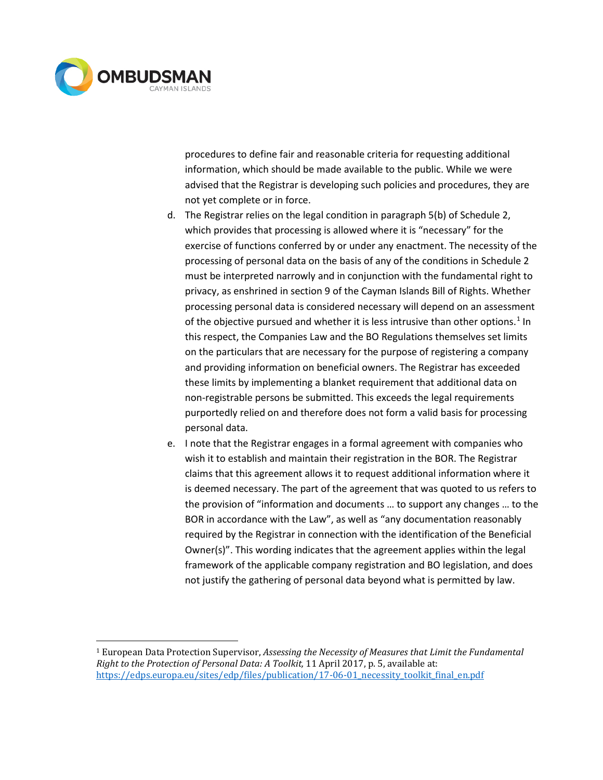

procedures to define fair and reasonable criteria for requesting additional information, which should be made available to the public. While we were advised that the Registrar is developing such policies and procedures, they are not yet complete or in force.

- d. The Registrar relies on the legal condition in paragraph 5(b) of Schedule 2, which provides that processing is allowed where it is "necessary" for the exercise of functions conferred by or under any enactment. The necessity of the processing of personal data on the basis of any of the conditions in Schedule 2 must be interpreted narrowly and in conjunction with the fundamental right to privacy, as enshrined in section 9 of the Cayman Islands Bill of Rights. Whether processing personal data is considered necessary will depend on an assessment of the objective pursued and whether it is less intrusive than other options.<sup>[1](#page-5-0)</sup> In this respect, the Companies Law and the BO Regulations themselves set limits on the particulars that are necessary for the purpose of registering a company and providing information on beneficial owners. The Registrar has exceeded these limits by implementing a blanket requirement that additional data on non-registrable persons be submitted. This exceeds the legal requirements purportedly relied on and therefore does not form a valid basis for processing personal data.
- e. I note that the Registrar engages in a formal agreement with companies who wish it to establish and maintain their registration in the BOR. The Registrar claims that this agreement allows it to request additional information where it is deemed necessary. The part of the agreement that was quoted to us refers to the provision of "information and documents … to support any changes … to the BOR in accordance with the Law", as well as "any documentation reasonably required by the Registrar in connection with the identification of the Beneficial Owner(s)". This wording indicates that the agreement applies within the legal framework of the applicable company registration and BO legislation, and does not justify the gathering of personal data beyond what is permitted by law.

<span id="page-5-0"></span><sup>1</sup> European Data Protection Supervisor, *Assessing the Necessity of Measures that Limit the Fundamental Right to the Protection of Personal Data: A Toolkit,* 11 April 2017, p. 5, available at: https://edps.europa.eu/sites/edp/files/publication/17-06-01 necessity toolkit final en.pdf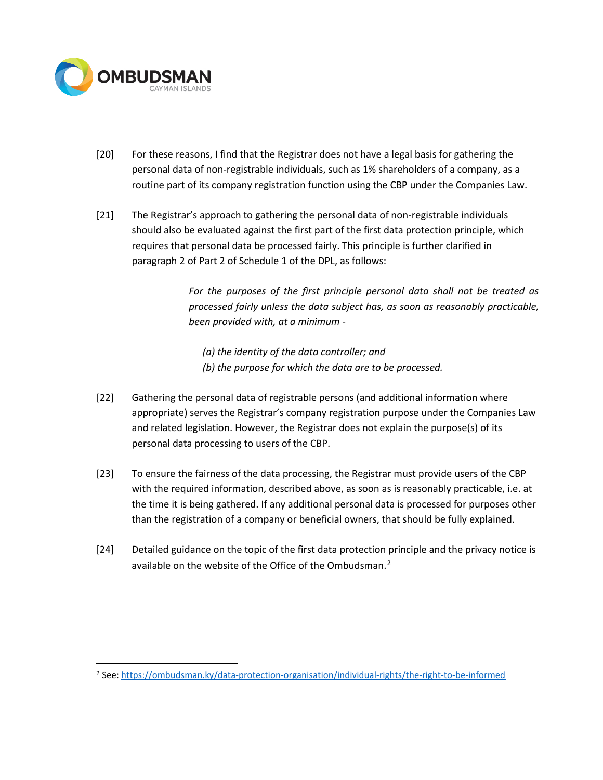

- [20] For these reasons, I find that the Registrar does not have a legal basis for gathering the personal data of non-registrable individuals, such as 1% shareholders of a company, as a routine part of its company registration function using the CBP under the Companies Law.
- [21] The Registrar's approach to gathering the personal data of non-registrable individuals should also be evaluated against the first part of the first data protection principle, which requires that personal data be processed fairly. This principle is further clarified in paragraph 2 of Part 2 of Schedule 1 of the DPL, as follows:

*For the purposes of the first principle personal data shall not be treated as processed fairly unless the data subject has, as soon as reasonably practicable, been provided with, at a minimum -*

*(a) the identity of the data controller; and (b) the purpose for which the data are to be processed.*

- [22] Gathering the personal data of registrable persons (and additional information where appropriate) serves the Registrar's company registration purpose under the Companies Law and related legislation. However, the Registrar does not explain the purpose(s) of its personal data processing to users of the CBP.
- [23] To ensure the fairness of the data processing, the Registrar must provide users of the CBP with the required information, described above, as soon as is reasonably practicable, i.e. at the time it is being gathered. If any additional personal data is processed for purposes other than the registration of a company or beneficial owners, that should be fully explained.
- [24] Detailed guidance on the topic of the first data protection principle and the privacy notice is available on the website of the Office of the Ombudsman.<sup>[2](#page-6-0)</sup>

<span id="page-6-0"></span><sup>2</sup> See:<https://ombudsman.ky/data-protection-organisation/individual-rights/the-right-to-be-informed>